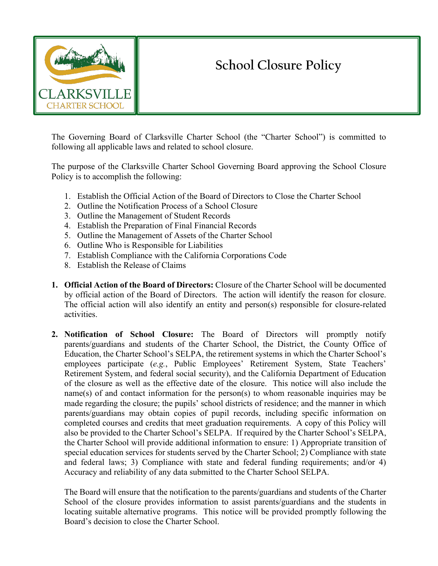

## **School Closure Policy**

The Governing Board of Clarksville Charter School (the "Charter School") is committed to following all applicable laws and related to school closure.

The purpose of the Clarksville Charter School Governing Board approving the School Closure Policy is to accomplish the following:

- 1. Establish the Official Action of the Board of Directors to Close the Charter School
- 2. Outline the Notification Process of a School Closure
- 3. Outline the Management of Student Records
- 4. Establish the Preparation of Final Financial Records
- 5. Outline the Management of Assets of the Charter School
- 6. Outline Who is Responsible for Liabilities
- 7. Establish Compliance with the California Corporations Code
- 8. Establish the Release of Claims
- **1. Official Action of the Board of Directors:** Closure of the Charter School will be documented by official action of the Board of Directors. The action will identify the reason for closure. The official action will also identify an entity and person(s) responsible for closure-related activities.
- **2. Notification of School Closure:** The Board of Directors will promptly notify parents/guardians and students of the Charter School, the District, the County Office of Education, the Charter School's SELPA, the retirement systems in which the Charter School's employees participate (*e.g.*, Public Employees' Retirement System, State Teachers' Retirement System, and federal social security), and the California Department of Education of the closure as well as the effective date of the closure. This notice will also include the name(s) of and contact information for the person(s) to whom reasonable inquiries may be made regarding the closure; the pupils' school districts of residence; and the manner in which parents/guardians may obtain copies of pupil records, including specific information on completed courses and credits that meet graduation requirements. A copy of this Policy will also be provided to the Charter School's SELPA. If required by the Charter School's SELPA, the Charter School will provide additional information to ensure: 1) Appropriate transition of special education services for students served by the Charter School; 2) Compliance with state and federal laws; 3) Compliance with state and federal funding requirements; and/or 4) Accuracy and reliability of any data submitted to the Charter School SELPA.

The Board will ensure that the notification to the parents/guardians and students of the Charter School of the closure provides information to assist parents/guardians and the students in locating suitable alternative programs. This notice will be provided promptly following the Board's decision to close the Charter School.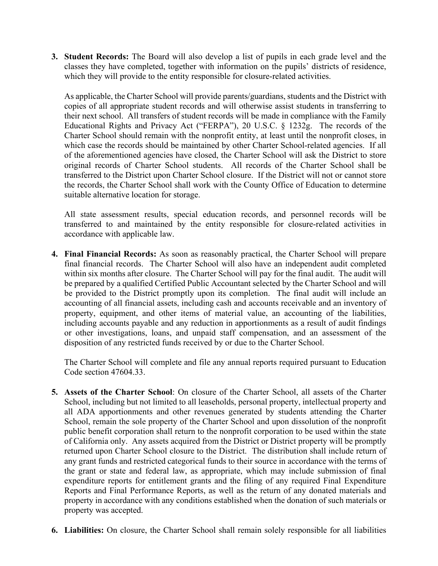**3. Student Records:** The Board will also develop a list of pupils in each grade level and the classes they have completed, together with information on the pupils' districts of residence, which they will provide to the entity responsible for closure-related activities.

As applicable, the Charter School will provide parents/guardians, students and the District with copies of all appropriate student records and will otherwise assist students in transferring to their next school. All transfers of student records will be made in compliance with the Family Educational Rights and Privacy Act ("FERPA"), 20 U.S.C. § 1232g. The records of the Charter School should remain with the nonprofit entity, at least until the nonprofit closes, in which case the records should be maintained by other Charter School-related agencies. If all of the aforementioned agencies have closed, the Charter School will ask the District to store original records of Charter School students. All records of the Charter School shall be transferred to the District upon Charter School closure. If the District will not or cannot store the records, the Charter School shall work with the County Office of Education to determine suitable alternative location for storage.

All state assessment results, special education records, and personnel records will be transferred to and maintained by the entity responsible for closure-related activities in accordance with applicable law.

**4. Final Financial Records:** As soon as reasonably practical, the Charter School will prepare final financial records. The Charter School will also have an independent audit completed within six months after closure. The Charter School will pay for the final audit. The audit will be prepared by a qualified Certified Public Accountant selected by the Charter School and will be provided to the District promptly upon its completion. The final audit will include an accounting of all financial assets, including cash and accounts receivable and an inventory of property, equipment, and other items of material value, an accounting of the liabilities, including accounts payable and any reduction in apportionments as a result of audit findings or other investigations, loans, and unpaid staff compensation, and an assessment of the disposition of any restricted funds received by or due to the Charter School.

The Charter School will complete and file any annual reports required pursuant to Education Code section 47604.33.

- **5. Assets of the Charter School**: On closure of the Charter School, all assets of the Charter School, including but not limited to all leaseholds, personal property, intellectual property and all ADA apportionments and other revenues generated by students attending the Charter School, remain the sole property of the Charter School and upon dissolution of the nonprofit public benefit corporation shall return to the nonprofit corporation to be used within the state of California only. Any assets acquired from the District or District property will be promptly returned upon Charter School closure to the District. The distribution shall include return of any grant funds and restricted categorical funds to their source in accordance with the terms of the grant or state and federal law, as appropriate, which may include submission of final expenditure reports for entitlement grants and the filing of any required Final Expenditure Reports and Final Performance Reports, as well as the return of any donated materials and property in accordance with any conditions established when the donation of such materials or property was accepted.
- **6. Liabilities:** On closure, the Charter School shall remain solely responsible for all liabilities